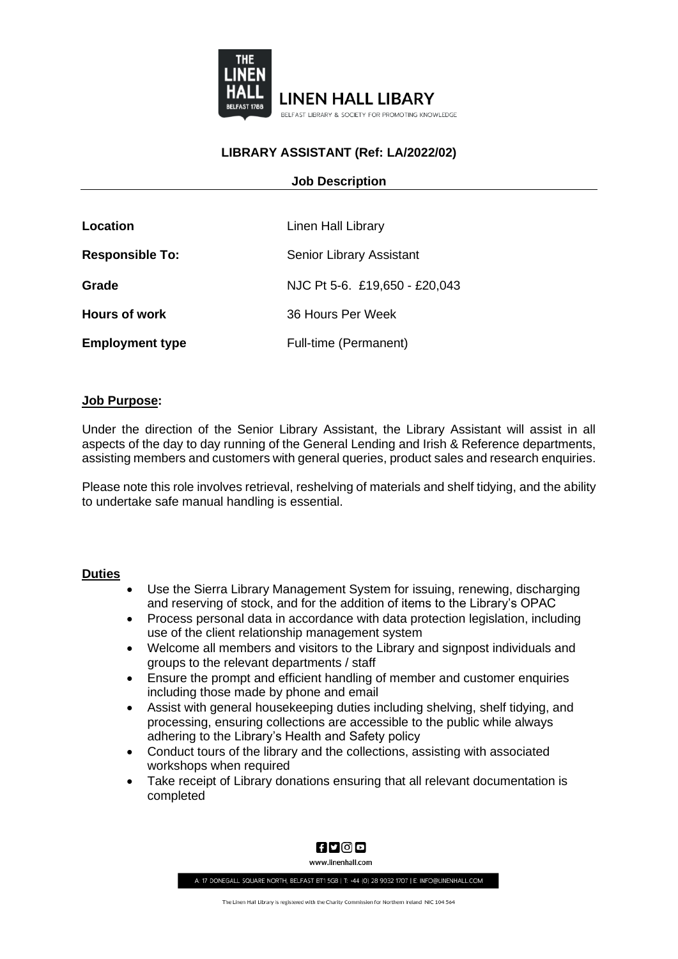

# **LIBRARY ASSISTANT (Ref: LA/2022/02)**

### **Job Description**

| Location               | Linen Hall Library              |
|------------------------|---------------------------------|
| <b>Responsible To:</b> | <b>Senior Library Assistant</b> |
| Grade                  | NJC Pt 5-6. £19,650 - £20,043   |
| <b>Hours of work</b>   | 36 Hours Per Week               |
| <b>Employment type</b> | Full-time (Permanent)           |

#### **Job Purpose:**

Under the direction of the Senior Library Assistant, the Library Assistant will assist in all aspects of the day to day running of the General Lending and Irish & Reference departments, assisting members and customers with general queries, product sales and research enquiries.

Please note this role involves retrieval, reshelving of materials and shelf tidying, and the ability to undertake safe manual handling is essential.

#### **Duties**

- Use the Sierra Library Management System for issuing, renewing, discharging and reserving of stock, and for the addition of items to the Library's OPAC
- Process personal data in accordance with data protection legislation, including use of the client relationship management system
- Welcome all members and visitors to the Library and signpost individuals and groups to the relevant departments / staff
- Ensure the prompt and efficient handling of member and customer enquiries including those made by phone and email
- Assist with general housekeeping duties including shelving, shelf tidying, and processing, ensuring collections are accessible to the public while always adhering to the Library's Health and Safety policy
- Conduct tours of the library and the collections, assisting with associated workshops when required
- Take receipt of Library donations ensuring that all relevant documentation is completed